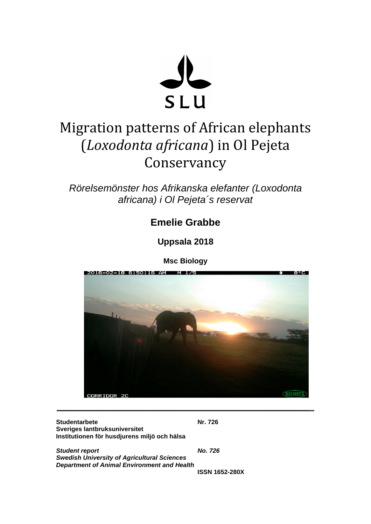

# Migration patterns of African elephants (*Loxodonta africana*) in Ol Pejeta Conservancy

*Rörelsemönster hos Afrikanska elefanter (Loxodonta africana) i Ol Pejeta´s reservat*

# **Emelie Grabbe**

**Uppsala 2018**

**Msc Biology**



**\_\_\_\_\_\_\_\_\_\_\_\_\_\_\_\_\_\_\_\_\_\_\_\_\_\_\_\_\_\_\_\_\_\_\_\_\_\_\_\_\_\_\_\_\_\_\_\_\_\_\_\_\_\_\_\_\_\_\_\_\_\_**

**Studentarbete Nr. 726 Sveriges lantbruksuniversitet Institutionen för husdjurens miljö och hälsa**

*Student report No. 726 Swedish University of Agricultural Sciences Department of Animal Environment and Health*

**ISSN 1652-280X**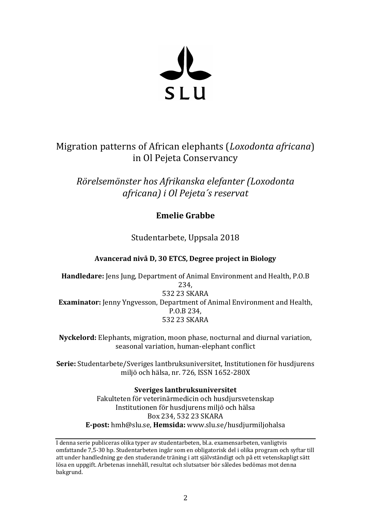

# Migration patterns of African elephants (*Loxodonta africana*) in Ol Pejeta Conservancy

*Rörelsemönster hos Afrikanska elefanter (Loxodonta africana) i Ol Pejeta´s reservat*

# **Emelie Grabbe**

Studentarbete, Uppsala 2018

# **Avancerad nivå D, 30 ETCS, Degree project in Biology**

**Handledare:** Jens Jung, Department of Animal Environment and Health, P.O.B 234, 532 23 SKARA **Examinator:** Jenny Yngvesson, Department of Animal Environment and Health, P.O.B 234, 532 23 SKARA

**Nyckelord:** Elephants, migration, moon phase, nocturnal and diurnal variation, seasonal variation, human-elephant conflict

**Serie:** Studentarbete/Sveriges lantbruksuniversitet, Institutionen för husdjurens miljö och hälsa, nr. 726, ISSN 1652-280X

> **Sveriges lantbruksuniversitet** Fakulteten för veterinärmedicin och husdjursvetenskap Institutionen för husdjurens miljö och hälsa Box 234, 532 23 SKARA **E-post:** hmh@slu.se, **Hemsida:** www.slu.se/husdjurmiljohalsa

I denna serie publiceras olika typer av studentarbeten, bl.a. examensarbeten, vanligtvis omfattande 7,5-30 hp. Studentarbeten ingår som en obligatorisk del i olika program och syftar till att under handledning ge den studerande träning i att självständigt och på ett vetenskapligt sätt lösa en uppgift. Arbetenas innehåll, resultat och slutsatser bör således bedömas mot denna bakgrund.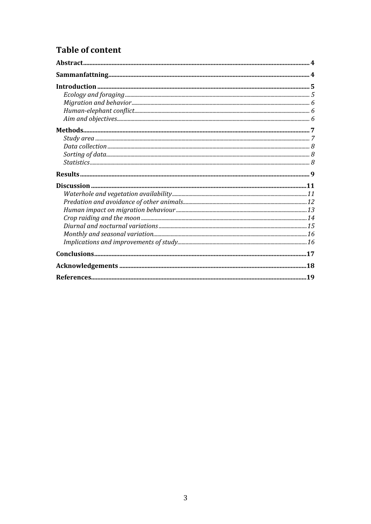# **Table of content**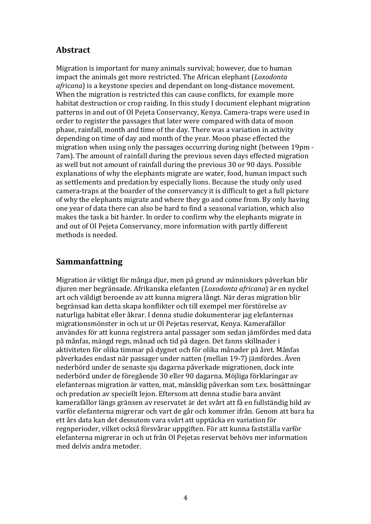# **Abstract**

Migration is important for many animals survival; however, due to human impact the animals get more restricted. The African elephant (*Loxodonta africana*) is a keystone species and dependant on long-distance movement. When the migration is restricted this can cause conflicts, for example more habitat destruction or crop raiding. In this study I document elephant migration patterns in and out of Ol Pejeta Conservancy, Kenya. Camera-traps were used in order to register the passages that later were compared with data of moon phase, rainfall, month and time of the day. There was a variation in activity depending on time of day and month of the year. Moon phase effected the migration when using only the passages occurring during night (between 19pm - 7am). The amount of rainfall during the previous seven days effected migration as well but not amount of rainfall during the previous 30 or 90 days. Possible explanations of why the elephants migrate are water, food, human impact such as settlements and predation by especially lions. Because the study only used camera-traps at the boarder of the conservancy it is difficult to get a full picture of why the elephants migrate and where they go and come from. By only having one year of data there can also be hard to find a seasonal variation, which also makes the task a bit harder. In order to confirm why the elephants migrate in and out of Ol Pejeta Conservancy, more information with partly different methods is needed.

# **Sammanfattning**

Migration är viktigt för många djur, men på grund av människors påverkan blir djuren mer begränsade. Afrikanska elefanten (*Loxodonta africana*) är en nyckel art och väldigt beroende av att kunna migrera långt. När deras migration blir begränsad kan detta skapa konflikter och till exempel mer förstörelse av naturliga habitat eller åkrar. I denna studie dokumenterar jag elefanternas migrationsmönster in och ut ur Ol Pejetas reservat, Kenya. Kamerafällor användes för att kunna registrera antal passager som sedan jämfördes med data på månfas, mängd regn, månad och tid på dagen. Det fanns skillnader i aktiviteten för olika timmar på dygnet och för olika månader på året. Månfas påverkades endast när passager under natten (mellan 19-7) jämfördes. Även nederbörd under de senaste sju dagarna påverkade migrationen, dock inte nederbörd under de föregående 30 eller 90 dagarna. Möjliga förklaringar av elefanternas migration är vatten, mat, mänsklig påverkan som t.ex. bosättningar och predation av speciellt lejon. Eftersom att denna studie bara använt kamerafällor längs gränsen av reservatet är det svårt att få en fullständig bild av varför elefanterna migrerar och vart de går och kommer ifrån. Genom att bara ha ett års data kan det dessutom vara svårt att upptäcka en variation för regnperioder, vilket också försvårar uppgiften. För att kunna fastställa varför elefanterna migrerar in och ut från Ol Pejetas reservat behövs mer information med delvis andra metoder.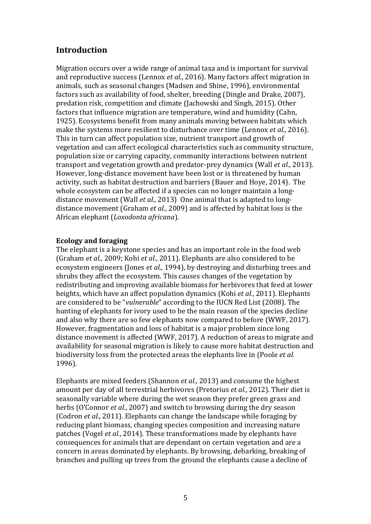# **Introduction**

Migration occurs over a wide range of animal taxa and is important for survival and reproductive success (Lennox *et al.*, 2016). Many factors affect migration in animals, such as seasonal changes (Madsen and Shine, 1996), environmental factors such as availability of food, shelter, breeding (Dingle and Drake, 2007), predation risk, competition and climate (Jachowski and Singh, 2015). Other factors that influence migration are temperature, wind and humidity (Cahn, 1925). Ecosystems benefit from many animals moving between habitats which make the systems more resilient to disturbance over time (Lennox *et al.*, 2016). This in turn can affect population size, nutrient transport and growth of vegetation and can affect ecological characteristics such as community structure, population size or carrying capacity, community interactions between nutrient transport and vegetation growth and predator-prey dynamics (Wall *et al.*, 2013). However, long-distance movement have been lost or is threatened by human activity, such as habitat destruction and barriers (Bauer and Hoye, 2014). The whole ecosystem can be affected if a species can no longer maintain a longdistance movement (Wall *et al.*, 2013) One animal that is adapted to longdistance movement (Graham *et al.*, 2009) and is affected by habitat loss is the African elephant (*Loxodonta africana*).

#### **Ecology and foraging**

The elephant is a keystone species and has an important role in the food web (Graham *et al.*, 2009; Kohi *et al.*, 2011). Elephants are also considered to be ecosystem engineers (Jones *et al.*, 1994), by destroying and disturbing trees and shrubs they affect the ecosystem. This causes changes of the vegetation by redistributing and improving available biomass for herbivores that feed at lower heights, which have an affect population dynamics (Kohi *et al.*, 2011). Elephants are considered to be "*vulnerable*" according to the IUCN Red List (2008). The hunting of elephants for ivory used to be the main reason of the species decline and also why there are so few elephants now compared to before (WWF, 2017). However, fragmentation and loss of habitat is a major problem since long distance movement is affected (WWF, 2017). A reduction of areas to migrate and availability for seasonal migration is likely to cause more habitat destruction and biodiversity loss from the protected areas the elephants live in (Poole *et al.* 1996).

Elephants are mixed feeders (Shannon *et al.*, 2013) and consume the highest amount per day of all terrestrial herbivores (Pretorius *et al.*, 2012). Their diet is seasonally variable where during the wet season they prefer green grass and herbs (O'Connor *et al.*, 2007) and switch to browsing during the dry season (Codron *et al.*, 2011). Elephants can change the landscape while foraging by reducing plant biomass, changing species composition and increasing nature patches (Vogel *et al.*, 2014). These transformations made by elephants have consequences for animals that are dependant on certain vegetation and are a concern in areas dominated by elephants. By browsing, debarking, breaking of branches and pulling up trees from the ground the elephants cause a decline of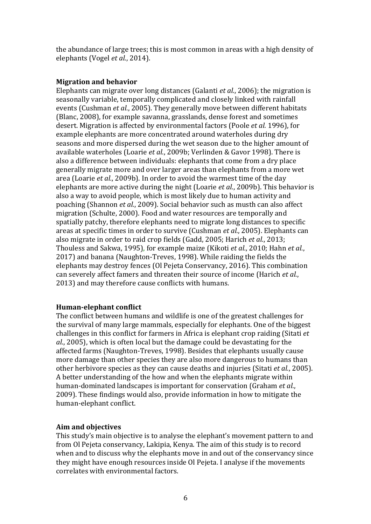the abundance of large trees; this is most common in areas with a high density of elephants (Vogel *et al.*, 2014).

#### **Migration and behavior**

Elephants can migrate over long distances (Galanti *et al.*, 2006); the migration is seasonally variable, temporally complicated and closely linked with rainfall events (Cushman *et al.*, 2005). They generally move between different habitats (Blanc, 2008), for example savanna, grasslands, dense forest and sometimes desert. Migration is affected by environmental factors (Poole *et al.* 1996), for example elephants are more concentrated around waterholes during dry seasons and more dispersed during the wet season due to the higher amount of available waterholes (Loarie *et al.*, 2009b; Verlinden & Gavor 1998). There is also a difference between individuals: elephants that come from a dry place generally migrate more and over larger areas than elephants from a more wet area (Loarie *et al.*, 2009b). In order to avoid the warmest time of the day elephants are more active during the night (Loarie *et al.*, 2009b). This behavior is also a way to avoid people, which is most likely due to human activity and poaching (Shannon *et al.*, 2009). Social behavior such as musth can also affect migration (Schulte, 2000). Food and water resources are temporally and spatially patchy, therefore elephants need to migrate long distances to specific areas at specific times in order to survive (Cushman *et al.*, 2005). Elephants can also migrate in order to raid crop fields (Gadd, 2005; Harich *et al.*, 2013; Thouless and Sakwa, 1995), for example maize (Kikoti *et al.*, 2010; Hahn *et al.*, 2017) and banana (Naughton-Treves, 1998). While raiding the fields the elephants may destroy fences (Ol Pejeta Conservancy, 2016). This combination can severely affect famers and threaten their source of income (Harich *et al.*, 2013) and may therefore cause conflicts with humans.

#### **Human-elephant conflict**

The conflict between humans and wildlife is one of the greatest challenges for the survival of many large mammals, especially for elephants. One of the biggest challenges in this conflict for farmers in Africa is elephant crop raiding (Sitati *et al.*, 2005), which is often local but the damage could be devastating for the affected farms (Naughton-Treves, 1998). Besides that elephants usually cause more damage than other species they are also more dangerous to humans than other herbivore species as they can cause deaths and injuries (Sitati *et al.*, 2005). A better understanding of the how and when the elephants migrate within human-dominated landscapes is important for conservation (Graham *et al.*, 2009). These findings would also, provide information in how to mitigate the human-elephant conflict.

#### **Aim and objectives**

This study's main objective is to analyse the elephant's movement pattern to and from Ol Pejeta conservancy, Lakipia, Kenya. The aim of this study is to record when and to discuss why the elephants move in and out of the conservancy since they might have enough resources inside Ol Pejeta. I analyse if the movements correlates with environmental factors.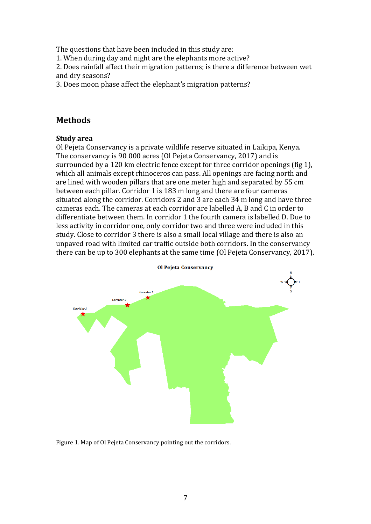The questions that have been included in this study are:

1. When during day and night are the elephants more active?

2. Does rainfall affect their migration patterns; is there a difference between wet and dry seasons?

3. Does moon phase affect the elephant's migration patterns?

# **Methods**

#### **Study area**

Ol Pejeta Conservancy is a private wildlife reserve situated in Laikipa, Kenya. The conservancy is 90 000 acres (Ol Pejeta Conservancy, 2017) and is surrounded by a 120 km electric fence except for three corridor openings (fig 1), which all animals except rhinoceros can pass. All openings are facing north and are lined with wooden pillars that are one meter high and separated by 55 cm between each pillar. Corridor 1 is 183 m long and there are four cameras situated along the corridor. Corridors 2 and 3 are each 34 m long and have three cameras each. The cameras at each corridor are labelled A, B and C in order to differentiate between them. In corridor 1 the fourth camera is labelled D. Due to less activity in corridor one, only corridor two and three were included in this study. Close to corridor 3 there is also a small local village and there is also an unpaved road with limited car traffic outside both corridors. In the conservancy there can be up to 300 elephants at the same time (Ol Pejeta Conservancy, 2017).



Figure 1. Map of Ol Pejeta Conservancy pointing out the corridors.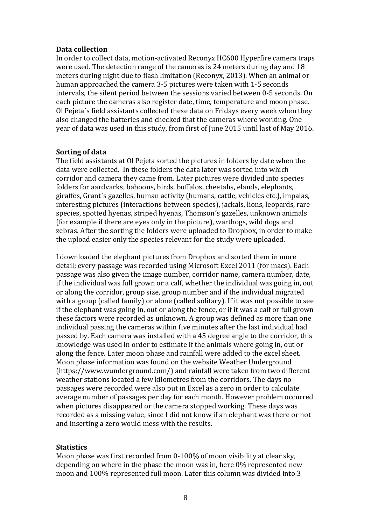#### **Data collection**

In order to collect data, motion-activated Reconyx HC600 Hyperfire camera traps were used. The detection range of the cameras is 24 meters during day and 18 meters during night due to flash limitation (Reconyx, 2013). When an animal or human approached the camera 3-5 pictures were taken with 1-5 seconds intervals, the silent period between the sessions varied between 0-5 seconds. On each picture the cameras also register date, time, temperature and moon phase. Ol Pejeta´s field assistants collected these data on Fridays every week when they also changed the batteries and checked that the cameras where working. One year of data was used in this study, from first of June 2015 until last of May 2016.

#### **Sorting of data**

The field assistants at Ol Pejeta sorted the pictures in folders by date when the data were collected. In these folders the data later was sorted into which corridor and camera they came from. Later pictures were divided into species folders for aardvarks, baboons, birds, buffalos, cheetahs, elands, elephants, giraffes, Grant´s gazelles, human activity (humans, cattle, vehicles etc.), impalas, interesting pictures (interactions between species), jackals, lions, leopards, rare species, spotted hyenas, striped hyenas, Thomson´s gazelles, unknown animals (for example if there are eyes only in the picture), warthogs, wild dogs and zebras. After the sorting the folders were uploaded to Dropbox, in order to make the upload easier only the species relevant for the study were uploaded.

I downloaded the elephant pictures from Dropbox and sorted them in more detail; every passage was recorded using Microsoft Excel 2011 (for macs). Each passage was also given the image number, corridor name, camera number, date, if the individual was full grown or a calf, whether the individual was going in, out or along the corridor, group size, group number and if the individual migrated with a group (called family) or alone (called solitary). If it was not possible to see if the elephant was going in, out or along the fence, or if it was a calf or full grown these factors were recorded as unknown. A group was defined as more than one individual passing the cameras within five minutes after the last individual had passed by. Each camera was installed with a 45 degree angle to the corridor, this knowledge was used in order to estimate if the animals where going in, out or along the fence. Later moon phase and rainfall were added to the excel sheet. Moon phase information was found on the website Weather Underground (https://www.wunderground.com/) and rainfall were taken from two different weather stations located a few kilometres from the corridors. The days no passages were recorded were also put in Excel as a zero in order to calculate average number of passages per day for each month. However problem occurred when pictures disappeared or the camera stopped working. These days was recorded as a missing value, since I did not know if an elephant was there or not and inserting a zero would mess with the results.

#### **Statistics**

Moon phase was first recorded from 0-100% of moon visibility at clear sky, depending on where in the phase the moon was in, here 0% represented new moon and 100% represented full moon. Later this column was divided into 3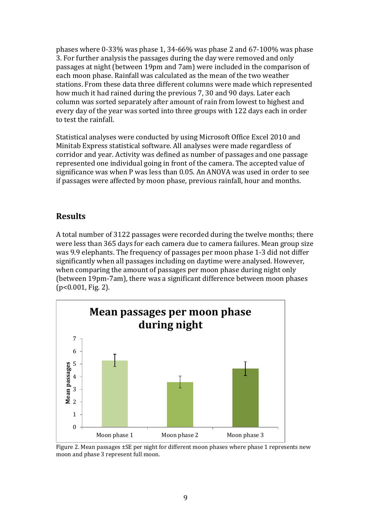phases where 0-33% was phase 1, 34-66% was phase 2 and 67-100% was phase 3. For further analysis the passages during the day were removed and only passages at night (between 19pm and 7am) were included in the comparison of each moon phase. Rainfall was calculated as the mean of the two weather stations. From these data three different columns were made which represented how much it had rained during the previous 7, 30 and 90 days. Later each column was sorted separately after amount of rain from lowest to highest and every day of the year was sorted into three groups with 122 days each in order to test the rainfall.

Statistical analyses were conducted by using Microsoft Office Excel 2010 and Minitab Express statistical software. All analyses were made regardless of corridor and year. Activity was defined as number of passages and one passage represented one individual going in front of the camera. The accepted value of significance was when P was less than 0.05. An ANOVA was used in order to see if passages were affected by moon phase, previous rainfall, hour and months.

# **Results**

A total number of 3122 passages were recorded during the twelve months; there were less than 365 days for each camera due to camera failures. Mean group size was 9.9 elephants. The frequency of passages per moon phase 1-3 did not differ significantly when all passages including on daytime were analysed. However, when comparing the amount of passages per moon phase during night only (between 19pm-7am), there was a significant difference between moon phases (p<0.001, Fig. 2).



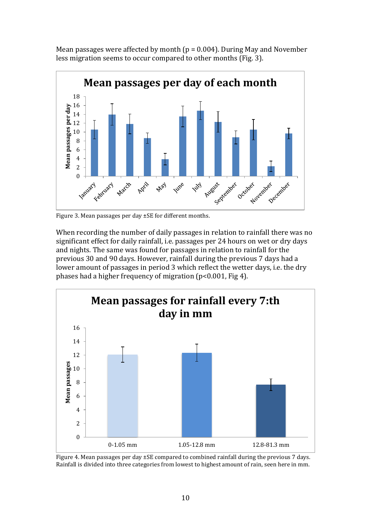Mean passages were affected by month ( $p = 0.004$ ). During May and November less migration seems to occur compared to other months (Fig. 3).



Figure 3. Mean passages per day ±SE for different months.

When recording the number of daily passages in relation to rainfall there was no significant effect for daily rainfall, i.e. passages per 24 hours on wet or dry days and nights. The same was found for passages in relation to rainfall for the previous 30 and 90 days. However, rainfall during the previous 7 days had a lower amount of passages in period 3 which reflect the wetter days, i.e. the dry phases had a higher frequency of migration (p<0.001, Fig 4).



Figure 4. Mean passages per day ±SE compared to combined rainfall during the previous 7 days. Rainfall is divided into three categories from lowest to highest amount of rain, seen here in mm.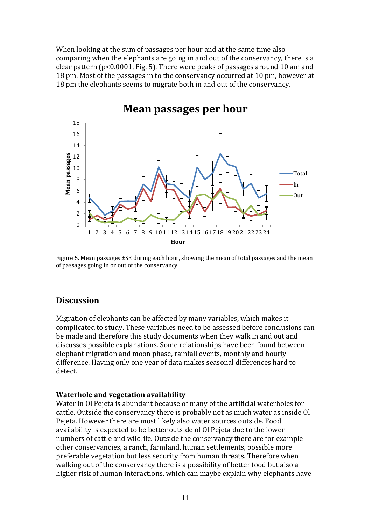When looking at the sum of passages per hour and at the same time also comparing when the elephants are going in and out of the conservancy, there is a clear pattern (p<0.0001, Fig. 5). There were peaks of passages around 10 am and 18 pm. Most of the passages in to the conservancy occurred at 10 pm, however at 18 pm the elephants seems to migrate both in and out of the conservancy.



Figure 5. Mean passages ±SE during each hour, showing the mean of total passages and the mean of passages going in or out of the conservancy.

# **Discussion**

Migration of elephants can be affected by many variables, which makes it complicated to study. These variables need to be assessed before conclusions can be made and therefore this study documents when they walk in and out and discusses possible explanations. Some relationships have been found between elephant migration and moon phase, rainfall events, monthly and hourly difference. Having only one year of data makes seasonal differences hard to detect.

#### **Waterhole and vegetation availability**

Water in Ol Pejeta is abundant because of many of the artificial waterholes for cattle. Outside the conservancy there is probably not as much water as inside Ol Pejeta. However there are most likely also water sources outside. Food availability is expected to be better outside of Ol Pejeta due to the lower numbers of cattle and wildlife. Outside the conservancy there are for example other conservancies, a ranch, farmland, human settlements, possible more preferable vegetation but less security from human threats. Therefore when walking out of the conservancy there is a possibility of better food but also a higher risk of human interactions, which can maybe explain why elephants have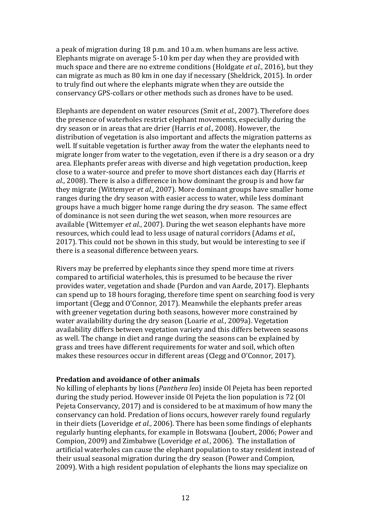a peak of migration during 18 p.m. and 10 a.m. when humans are less active. Elephants migrate on average 5-10 km per day when they are provided with much space and there are no extreme conditions (Holdgate *et al.*, 2016), but they can migrate as much as 80 km in one day if necessary (Sheldrick, 2015). In order to truly find out where the elephants migrate when they are outside the conservancy GPS-collars or other methods such as drones have to be used.

Elephants are dependent on water resources (Smit *et al.*, 2007). Therefore does the presence of waterholes restrict elephant movements, especially during the dry season or in areas that are drier (Harris *et al.*, 2008). However, the distribution of vegetation is also important and affects the migration patterns as well. If suitable vegetation is further away from the water the elephants need to migrate longer from water to the vegetation, even if there is a dry season or a dry area. Elephants prefer areas with diverse and high vegetation production, keep close to a water-source and prefer to move short distances each day (Harris *et al.*, 2008). There is also a difference in how dominant the group is and how far they migrate (Wittemyer *et al.*, 2007). More dominant groups have smaller home ranges during the dry season with easier access to water, while less dominant groups have a much bigger home range during the dry season. The same effect of dominance is not seen during the wet season, when more resources are available (Wittemyer *et al.*, 2007). During the wet season elephants have more resources, which could lead to less usage of natural corridors (Adams *et al.*, 2017). This could not be shown in this study, but would be interesting to see if there is a seasonal difference between years.

Rivers may be preferred by elephants since they spend more time at rivers compared to artificial waterholes, this is presumed to be because the river provides water, vegetation and shade (Purdon and van Aarde, 2017). Elephants can spend up to 18 hours foraging, therefore time spent on searching food is very important (Clegg and O'Connor, 2017). Meanwhile the elephants prefer areas with greener vegetation during both seasons, however more constrained by water availability during the dry season (Loarie *et al.*, 2009a). Vegetation availability differs between vegetation variety and this differs between seasons as well. The change in diet and range during the seasons can be explained by grass and trees have different requirements for water and soil, which often makes these resources occur in different areas (Clegg and O'Connor, 2017).

#### **Predation and avoidance of other animals**

No killing of elephants by lions (*Panthera leo*) inside Ol Pejeta has been reported during the study period. However inside Ol Pejeta the lion population is 72 (Ol Pejeta Conservancy, 2017) and is considered to be at maximum of how many the conservancy can hold. Predation of lions occurs, however rarely found regularly in their diets (Loveridge *et al.*, 2006). There has been some findings of elephants regularly hunting elephants, for example in Botswana (Joubert, 2006; Power and Compion, 2009) and Zimbabwe (Loveridge *et al.*, 2006). The installation of artificial waterholes can cause the elephant population to stay resident instead of their usual seasonal migration during the dry season (Power and Compion, 2009). With a high resident population of elephants the lions may specialize on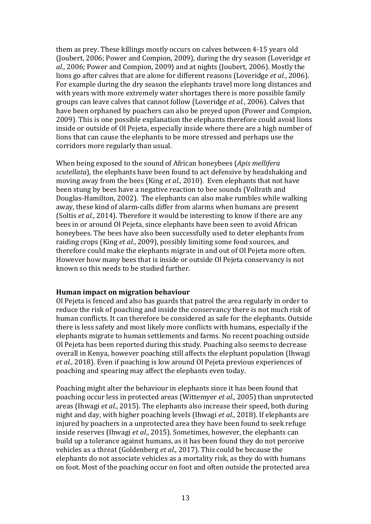them as prey. These killings mostly occurs on calves between 4-15 years old (Joubert, 2006; Power and Compion, 2009), during the dry season (Loveridge *et al.*, 2006; Power and Compion, 2009) and at nights (Joubert, 2006). Mostly the lions go after calves that are alone for different reasons (Loveridge *et al.*, 2006). For example during the dry season the elephants travel more long distances and with years with more extremely water shortages there is more possible family groups can leave calves that cannot follow (Loveridge *et al.*, 2006). Calves that have been orphaned by poachers can also be preyed upon (Power and Compion, 2009). This is one possible explanation the elephants therefore could avoid lions inside or outside of Ol Pejeta, especially inside where there are a high number of lions that can cause the elephants to be more stressed and perhaps use the corridors more regularly than usual.

When being exposed to the sound of African honeybees (*Apis mellifera scutellata*), the elephants have been found to act defensive by headshaking and moving away from the bees (King *et al.*, 2010). Even elephants that not have been stung by bees have a negative reaction to bee sounds (Vollrath and Douglas-Hamilton, 2002). The elephants can also make rumbles while walking away, these kind of alarm-calls differ from alarms when humans are present (Soltis *et al.*, 2014). Therefore it would be interesting to know if there are any bees in or around Ol Pejeta, since elephants have been seen to avoid African honeybees. The bees have also been successfully used to deter elephants from raiding crops (King *et al.*, 2009), possibly limiting some food sources, and therefore could make the elephants migrate in and out of Ol Pejeta more often. However how many bees that is inside or outside Ol Pejeta conservancy is not known so this needs to be studied further.

#### **Human impact on migration behaviour**

Ol Pejeta is fenced and also has guards that patrol the area regularly in order to reduce the risk of poaching and inside the conservancy there is not much risk of human conflicts. It can therefore be considered as safe for the elephants. Outside there is less safety and most likely more conflicts with humans, especially if the elephants migrate to human settlements and farms. No recent poaching outside Ol Pejeta has been reported during this study. Poaching also seems to decrease overall in Kenya, however poaching still affects the elephant population (Ihwagi *et al.*, 2018). Even if poaching is low around Ol Pejeta previous experiences of poaching and spearing may affect the elephants even today.

Poaching might alter the behaviour in elephants since it has been found that poaching occur less in protected areas (Wittemyer *et al.*, 2005) than unprotected areas (Ihwagi *et al.*, 2015). The elephants also increase their speed, both during night and day, with higher poaching levels (Ihwagi *et al.*, 2018). If elephants are injured by poachers in a unprotected area they have been found to seek refuge inside reserves (Ihwagi *et al.*, 2015). Sometimes, however, the elephants can build up a tolerance against humans, as it has been found they do not perceive vehicles as a threat (Goldenberg *et al.*, 2017). This could be because the elephants do not associate vehicles as a mortality risk, as they do with humans on foot. Most of the poaching occur on foot and often outside the protected area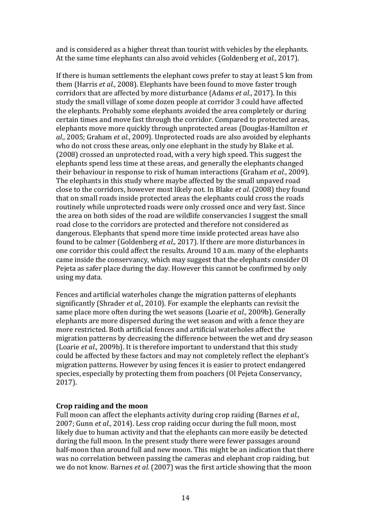and is considered as a higher threat than tourist with vehicles by the elephants. At the same time elephants can also avoid vehicles (Goldenberg *et al.*, 2017).

If there is human settlements the elephant cows prefer to stay at least 5 km from them (Harris *et al.*, 2008). Elephants have been found to move faster trough corridors that are affected by more disturbance (Adams *et al.*, 2017). In this study the small village of some dozen people at corridor 3 could have affected the elephants. Probably some elephants avoided the area completely or during certain times and move fast through the corridor. Compared to protected areas, elephants move more quickly through unprotected areas (Douglas-Hamilton *et al.*, 2005; Graham *et al.*, 2009). Unprotected roads are also avoided by elephants who do not cross these areas, only one elephant in the study by Blake et al. (2008) crossed an unprotected road, with a very high speed. This suggest the elephants spend less time at these areas, and generally the elephants changed their behaviour in response to risk of human interactions (Graham *et al.*, 2009). The elephants in this study where maybe affected by the small unpaved road close to the corridors, however most likely not. In Blake *et al*. (2008) they found that on small roads inside protected areas the elephants could cross the roads routinely while unprotected roads were only crossed once and very fast. Since the area on both sides of the road are wildlife conservancies I suggest the small road close to the corridors are protected and therefore not considered as dangerous. Elephants that spend more time inside protected areas have also found to be calmer (Goldenberg *et al.*, 2017). If there are more disturbances in one corridor this could affect the results. Around 10 a.m. many of the elephants came inside the conservancy, which may suggest that the elephants consider Ol Pejeta as safer place during the day. However this cannot be confirmed by only using my data.

Fences and artificial waterholes change the migration patterns of elephants significantly (Shrader *et al.*, 2010). For example the elephants can revisit the same place more often during the wet seasons (Loarie *et al.*, 2009b). Generally elephants are more dispersed during the wet season and with a fence they are more restricted. Both artificial fences and artificial waterholes affect the migration patterns by decreasing the difference between the wet and dry season (Loarie *et al.*, 2009b). It is therefore important to understand that this study could be affected by these factors and may not completely reflect the elephant's migration patterns. However by using fences it is easier to protect endangered species, especially by protecting them from poachers (Ol Pejeta Conservancy, 2017).

#### **Crop raiding and the moon**

Full moon can affect the elephants activity during crop raiding (Barnes *et al.*, 2007; Gunn *et al.*, 2014). Less crop raiding occur during the full moon, most likely due to human activity and that the elephants can more easily be detected during the full moon. In the present study there were fewer passages around half-moon than around full and new moon. This might be an indication that there was no correlation between passing the cameras and elephant crop raiding, but we do not know. Barnes *et al.* (2007) was the first article showing that the moon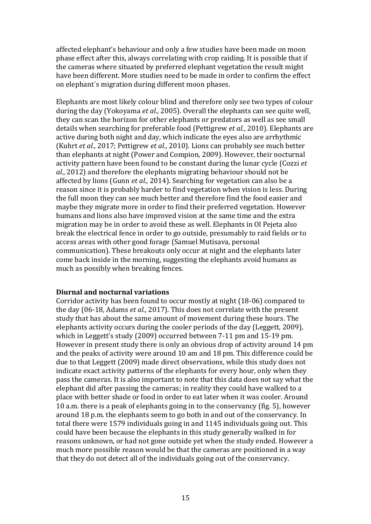affected elephant's behaviour and only a few studies have been made on moon phase effect after this, always correlating with crop raiding. It is possible that if the cameras where situated by preferred elephant vegetation the result might have been different. More studies need to be made in order to confirm the effect on elephant´s migration during different moon phases.

Elephants are most likely colour blind and therefore only see two types of colour during the day (Yokoyama *et al.*, 2005). Overall the elephants can see quite well, they can scan the horizon for other elephants or predators as well as see small details when searching for preferable food (Pettigrew *et al.*, 2010). Elephants are active during both night and day, which indicate the eyes also are arrhythmic (Kuhrt *et al.*, 2017; Pettigrew *et al.*, 2010). Lions can probably see much better than elephants at night (Power and Compion, 2009). However, their nocturnal activity pattern have been found to be constant during the lunar cycle (Cozzi *et al.*, 2012) and therefore the elephants migrating behaviour should not be affected by lions (Gunn *et al.*, 2014). Searching for vegetation can also be a reason since it is probably harder to find vegetation when vision is less. During the full moon they can see much better and therefore find the food easier and maybe they migrate more in order to find their preferred vegetation. However humans and lions also have improved vision at the same time and the extra migration may be in order to avoid these as well. Elephants in Ol Pejeta also break the electrical fence in order to go outside, presumably to raid fields or to access areas with other good forage (Samuel Mutisava, personal communication). These breakouts only occur at night and the elephants later come back inside in the morning, suggesting the elephants avoid humans as much as possibly when breaking fences.

#### **Diurnal and nocturnal variations**

Corridor activity has been found to occur mostly at night (18-06) compared to the day (06-18, Adams *et al.*, 2017). This does not correlate with the present study that has about the same amount of movement during these hours. The elephants activity occurs during the cooler periods of the day (Leggett, 2009), which in Leggett's study (2009) occurred between 7-11 pm and 15-19 pm. However in present study there is only an obvious drop of activity around 14 pm and the peaks of activity were around 10 am and 18 pm. This difference could be due to that Leggett (2009) made direct observations, while this study does not indicate exact activity patterns of the elephants for every hour, only when they pass the cameras. It is also important to note that this data does not say what the elephant did after passing the cameras; in reality they could have walked to a place with better shade or food in order to eat later when it was cooler. Around 10 a.m. there is a peak of elephants going in to the conservancy (fig. 5), however around 18 p.m. the elephants seem to go both in and out of the conservancy. In total there were 1579 individuals going in and 1145 individuals going out. This could have been because the elephants in this study generally walked in for reasons unknown, or had not gone outside yet when the study ended. However a much more possible reason would be that the cameras are positioned in a way that they do not detect all of the individuals going out of the conservancy.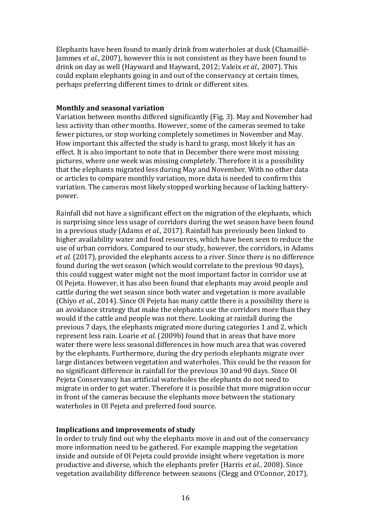Elephants have been found to manly drink from waterholes at dusk (Chamaillé-Jammes *et al.*, 2007), however this is not consistent as they have been found to drink on day as well (Hayward and Hayward, 2012; Valeix *et al.*, 2007). This could explain elephants going in and out of the conservancy at certain times, perhaps preferring different times to drink or different sites.

#### **Monthly and seasonal variation**

Variation between months differed significantly (Fig. 3). May and November had less activity than other months. However, some of the cameras seemed to take fewer pictures, or stop working completely sometimes in November and May. How important this affected the study is hard to grasp, most likely it has an effect. It is also important to note that in December there were most missing pictures, where one week was missing completely. Therefore it is a possibility that the elephants migrated less during May and November. With no other data or articles to compare monthly variation, more data is needed to confirm this variation. The cameras most likely stopped working because of lacking batterypower.

Rainfall did not have a significant effect on the migration of the elephants, which is surprising since less usage of corridors during the wet season have been found in a previous study (Adams *et al.*, 2017). Rainfall has previously been linked to higher availability water and food resources, which have been seen to reduce the use of urban corridors. Compared to our study, however, the corridors, in Adams *et al.* (2017), provided the elephants access to a river. Since there is no difference found during the wet season (which would correlate to the previous 90 days), this could suggest water might not the most important factor in corridor use at Ol Pejeta. However, it has also been found that elephants may avoid people and cattle during the wet season since both water and vegetation is more available (Chiyo *et al.*, 2014). Since Ol Pejeta has many cattle there is a possibility there is an avoidance strategy that make the elephants use the corridors more than they would if the cattle and people was not there. Looking at rainfall during the previous 7 days, the elephants migrated more during categories 1 and 2, which represent less rain. Loarie *et al.* (2009b) found that in areas that have more water there were less seasonal differences in how much area that was covered by the elephants. Furthermore, during the dry periods elephants migrate over large distances between vegetation and waterholes. This could be the reason for no significant difference in rainfall for the previous 30 and 90 days. Since Ol Pejeta Conservancy has artificial waterholes the elephants do not need to migrate in order to get water. Therefore it is possible that more migration occur in front of the cameras because the elephants move between the stationary waterholes in Ol Pejeta and preferred food source.

#### **Implications and improvements of study**

In order to truly find out why the elephants move in and out of the conservancy more information need to be gathered. For example mapping the vegetation inside and outside of Ol Pejeta could provide insight where vegetation is more productive and diverse, which the elephants prefer (Harris *et al.*, 2008). Since vegetation availability difference between seasons (Clegg and O'Connor, 2017),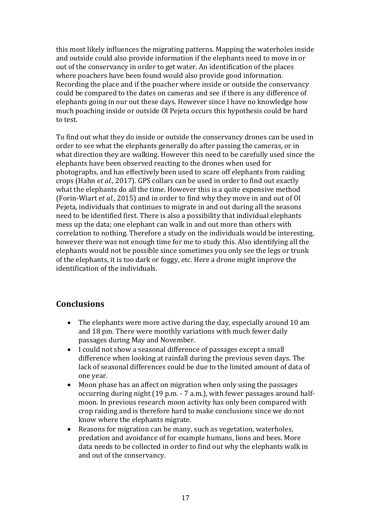this most likely influences the migrating patterns. Mapping the waterholes inside and outside could also provide information if the elephants need to move in or out of the conservancy in order to get water. An identification of the places where poachers have been found would also provide good information. Recording the place and if the poacher where inside or outside the conservancy could be compared to the dates on cameras and see if there is any difference of elephants going in our out these days. However since I have no knowledge how much poaching inside or outside Ol Pejeta occurs this hypothesis could be hard to test.

To find out what they do inside or outside the conservancy drones can be used in order to see what the elephants generally do after passing the cameras, or in what direction they are walking. However this need to be carefully used since the elephants have been observed reacting to the drones when used for photographs, and has effectively been used to scare off elephants from raiding crops (Hahn *et al.*, 2017). GPS collars can be used in order to find out exactly what the elephants do all the time. However this is a quite expensive method (Forin-Wiart *et al.*, 2015) and in order to find why they move in and out of Ol Pejeta, individuals that continues to migrate in and out during all the seasons need to be identified first. There is also a possibility that individual elephants mess up the data; one elephant can walk in and out more than others with correlation to nothing. Therefore a study on the individuals would be interesting, however there was not enough time for me to study this. Also identifying all the elephants would not be possible since sometimes you only see the legs or trunk of the elephants, it is too dark or foggy, etc. Here a drone might improve the identification of the individuals.

# **Conclusions**

- The elephants were more active during the day, especially around 10 am and 18 pm. There were monthly variations with much fewer daily passages during May and November.
- I could not show a seasonal difference of passages except a small difference when looking at rainfall during the previous seven days. The lack of seasonal differences could be due to the limited amount of data of one year.
- Moon phase has an affect on migration when only using the passages occurring during night (19 p.m. - 7 a.m.), with fewer passages around halfmoon. In previous research moon activity has only been compared with crop raiding and is therefore hard to make conclusions since we do not know where the elephants migrate.
- Reasons for migration can be many, such as vegetation, waterholes, predation and avoidance of for example humans, lions and bees. More data needs to be collected in order to find out why the elephants walk in and out of the conservancy.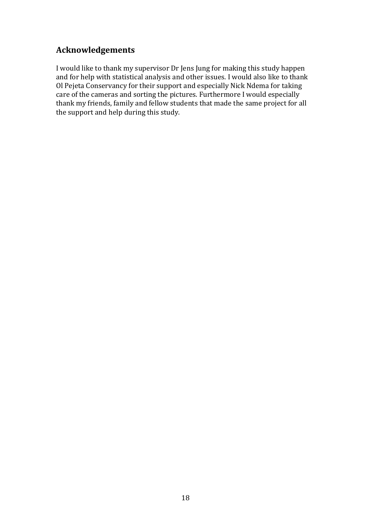# **Acknowledgements**

I would like to thank my supervisor Dr Jens Jung for making this study happen and for help with statistical analysis and other issues. I would also like to thank Ol Pejeta Conservancy for their support and especially Nick Ndema for taking care of the cameras and sorting the pictures. Furthermore I would especially thank my friends, family and fellow students that made the same project for all the support and help during this study.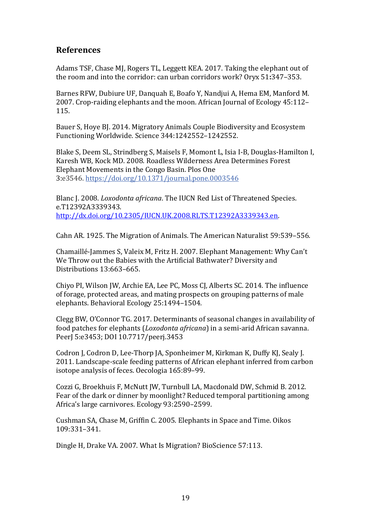### **References**

Adams TSF, Chase MJ, Rogers TL, Leggett KEA. 2017. Taking the elephant out of the room and into the corridor: can urban corridors work? Oryx 51**:**347–353.

Barnes RFW, Dubiure UF, Danquah E, Boafo Y, Nandjui A, Hema EM, Manford M. 2007. Crop-raiding elephants and the moon. African Journal of Ecology 45:112– 115.

Bauer S, Hoye BJ. 2014. Migratory Animals Couple Biodiversity and Ecosystem Functioning Worldwide. Science 344:1242552–1242552.

Blake S, Deem SL, Strindberg S, Maisels F, Momont L, Isia I-B, Douglas-Hamilton I, Karesh WB, Kock MD. 2008. Roadless Wilderness Area Determines Forest Elephant Movements in the Congo Basin. Plos One 3:e3546. <https://doi.org/10.1371/journal.pone.0003546>

Blanc J. 2008. *Loxodonta africana*. The IUCN Red List of Threatened Species. e.T12392A3339343. [http://dx.doi.org/10.2305/IUCN.UK.2008.RLTS.T12392A3339343.en.](http://dx.doi.org/10.2305/IUCN.UK.2008.RLTS.T12392A3339343.en)

Cahn AR. 1925. The Migration of Animals. The American Naturalist 59:539–556.

Chamaillé-Jammes S, Valeix M, Fritz H. 2007. Elephant Management: Why Can't We Throw out the Babies with the Artificial Bathwater? Diversity and Distributions 13:663–665.

Chiyo PI, Wilson JW, Archie EA, Lee PC, Moss CJ, Alberts SC. 2014. The influence of forage, protected areas, and mating prospects on grouping patterns of male elephants. Behavioral Ecology 25:1494–1504.

Clegg BW, O'Connor TG. 2017. Determinants of seasonal changes in availability of food patches for elephants (*Loxodonta africana*) in a semi-arid African savanna. PeerJ 5:e3453; DOI 10.7717/peerj.3453

Codron J, Codron D, Lee-Thorp JA, Sponheimer M, Kirkman K, Duffy KJ, Sealy J. 2011. Landscape-scale feeding patterns of African elephant inferred from carbon isotope analysis of feces. Oecologia 165:89–99.

Cozzi G, Broekhuis F, McNutt JW, Turnbull LA, Macdonald DW, Schmid B. 2012. Fear of the dark or dinner by moonlight? Reduced temporal partitioning among Africa's large carnivores. Ecology 93:2590–2599.

Cushman SA, Chase M, Griffin C. 2005. Elephants in Space and Time. Oikos 109:331–341.

Dingle H, Drake VA. 2007. What Is Migration? BioScience 57:113.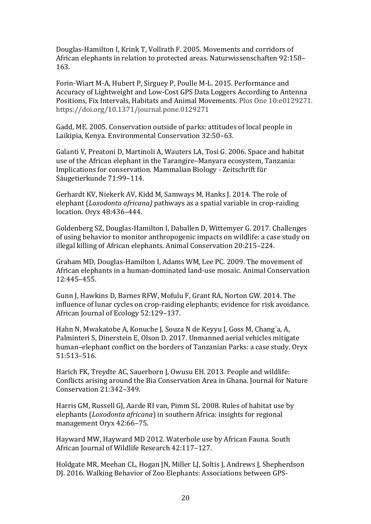Douglas-Hamilton I, Krink T, Vollrath F. 2005. Movements and corridors of African elephants in relation to protected areas. Naturwissenschaften 92:158– 163.

Forin-Wiart M-A, Hubert P, Sirguey P, Poulle M-L. 2015. Performance and Accuracy of Lightweight and Low-Cost GPS Data Loggers According to Antenna Positions, Fix Intervals, Habitats and Animal Movements. Plos One 10:e0129271. https://doi.org/10.1371/journal.pone.0129271

Gadd, ME. 2005. Conservation outside of parks: attitudes of local people in Laikipia, Kenya. Environmental Conservation 32:50–63.

Galanti V, Preatoni D, Martinoli A, Wauters LA, Tosi G. 2006. Space and habitat use of the African elephant in the Tarangire–Manyara ecosystem, Tanzania: Implications for conservation. Mammalian Biology - Zeitschrift für Säugetierkunde 71:99–114.

Gerhardt KV, Niekerk AV, Kidd M, Samways M, Hanks J. 2014. The role of elephant (*Loxodonta africana)* pathways as a spatial variable in crop-raiding location. Oryx 48:436–444.

Goldenberg SZ, Douglas-Hamilton I, Daballen D, Wittemyer G. 2017. Challenges of using behavior to monitor anthropogenic impacts on wildlife: a case study on illegal killing of African elephants. Animal Conservation 20:215–224.

Graham MD, Douglas-Hamilton I, Adams WM, Lee PC. 2009. The movement of African elephants in a human-dominated land-use mosaic. Animal Conservation 12:445–455.

Gunn J, Hawkins D, Barnes RFW, Mofulu F, Grant RA, Norton GW. 2014. The influence of lunar cycles on crop-raiding elephants; evidence for risk avoidance. African Journal of Ecology 52:129–137.

Hahn N, Mwakatobe A, Konuche J, Souza N de Keyyu J, Goss M, Chang´a, A, Palminteri S, Dinerstein E, Olson D. 2017. Unmanned aerial vehicles mitigate human–elephant conflict on the borders of Tanzanian Parks: a case study. Oryx 51:513–516.

Harich FK, Treydte AC, Sauerborn J, Owusu EH. 2013. People and wildlife: Conflicts arising around the Bia Conservation Area in Ghana. Journal for Nature Conservation 21:342–349.

Harris GM, Russell GJ, Aarde RI van, Pimm SL. 2008. Rules of habitat use by elephants (*Loxodonta africana*) in southern Africa: insights for regional management Oryx 42:66–75.

Hayward MW, Hayward MD 2012. Waterhole use by African Fauna. South African Journal of Wildlife Research 42:117–127.

Holdgate MR, Meehan CL, Hogan JN, Miller LJ, Soltis J, Andrews J, Shepherdson DJ. 2016. Walking Behavior of Zoo Elephants: Associations between GPS-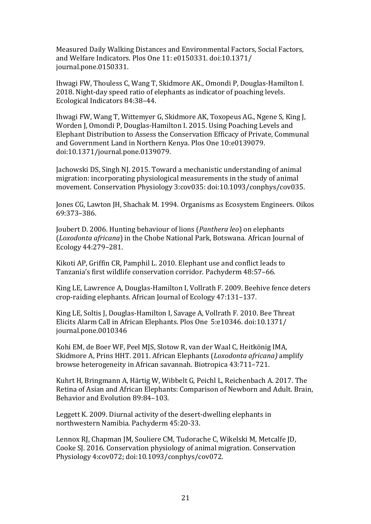Measured Daily Walking Distances and Environmental Factors, Social Factors, and Welfare Indicators. Plos One 11: e0150331. doi:10.1371/ journal.pone.0150331.

Ihwagi FW, Thouless C, Wang T, Skidmore AK., Omondi P, Douglas-Hamilton I. 2018. Night-day speed ratio of elephants as indicator of poaching levels. Ecological Indicators 84:38–44.

Ihwagi FW, Wang T, Wittemyer G, Skidmore AK, Toxopeus AG., Ngene S, King J, Worden J, Omondi P, Douglas-Hamilton I. 2015. Using Poaching Levels and Elephant Distribution to Assess the Conservation Efficacy of Private, Communal and Government Land in Northern Kenya. Plos One 10:e0139079. doi:10.1371/journal.pone.0139079.

Jachowski DS, Singh NJ. 2015. Toward a mechanistic understanding of animal migration: incorporating physiological measurements in the study of animal movement. Conservation Physiology 3:cov035: doi:10.1093/conphys/cov035.

Jones CG, Lawton JH, Shachak M. 1994. Organisms as Ecosystem Engineers. Oikos 69:373–386.

Joubert D. 2006. Hunting behaviour of lions (*Panthera leo*) on elephants (*Loxodonta africana*) in the Chobe National Park, Botswana. African Journal of Ecology 44:279–281.

Kikoti AP, Griffin CR, Pamphil L. 2010. Elephant use and conflict leads to Tanzania's first wildlife conservation corridor. Pachyderm 48:57–66.

King LE, Lawrence A, Douglas-Hamilton I, Vollrath F. 2009. Beehive fence deters crop-raiding elephants. African Journal of Ecology 47:131–137.

King LE, Soltis J, Douglas-Hamilton I, Savage A, Vollrath F. 2010. Bee Threat Elicits Alarm Call in African Elephants. Plos One 5:e10346. doi:10.1371/ journal.pone.0010346

Kohi EM, de Boer WF, Peel MJS, Slotow R, van der Waal C, Heitkönig IMA, Skidmore A, Prins HHT. 2011. African Elephants (*Loxodonta africana)* amplify browse heterogeneity in African savannah. Biotropica 43:711–721.

Kuhrt H, Bringmann A, Härtig W, Wibbelt G, Peichl L, Reichenbach A. 2017. The Retina of Asian and African Elephants: Comparison of Newborn and Adult. Brain, Behavior and Evolution 89:84–103.

Leggett K. 2009. Diurnal activity of the desert-dwelling elephants in northwestern Namibia. Pachyderm 45:20-33.

Lennox RJ, Chapman JM, Souliere CM, Tudorache C, Wikelski M, Metcalfe JD, Cooke SJ. 2016. Conservation physiology of animal migration. Conservation Physiology 4:cov072; doi:10.1093/conphys/cov072.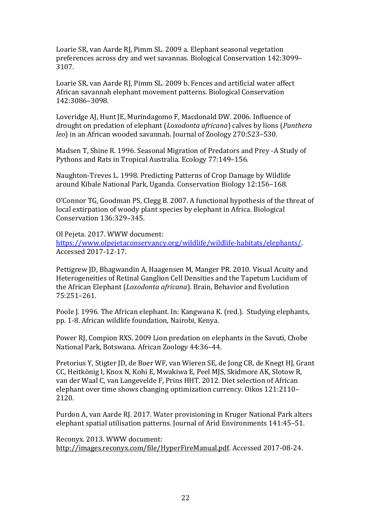Loarie SR, van Aarde RJ, Pimm SL. 2009 a. Elephant seasonal vegetation preferences across dry and wet savannas. Biological Conservation 142:3099– 3107.

Loarie SR, van Aarde RJ, Pimm SL. 2009 b. Fences and artificial water affect African savannah elephant movement patterns. Biological Conservation 142:3086–3098.

Loveridge AJ, Hunt JE, Murindagomo F, Macdonald DW. 2006. Influence of drought on predation of elephant (*Loxodonta africana*) calves by lions (*Panthera leo*) in an African wooded savannah. Journal of Zoology 270:523–530.

Madsen T, Shine R. 1996. Seasonal Migration of Predators and Prey -A Study of Pythons and Rats in Tropical Australia. Ecology 77:149–156.

Naughton-Treves L. 1998. Predicting Patterns of Crop Damage by Wildlife around Kibale National Park, Uganda. Conservation Biology 12:156–168.

O'Connor TG, Goodman PS, Clegg B. 2007. A functional hypothesis of the threat of local extirpation of woody plant species by elephant in Africa. Biological Conservation 136:329–345.

Ol Pejeta. 2017. WWW document: [https://www.olpejetaconservancy.org/wildlife/wildlife-habitats/elephants/.](https://www.olpejetaconservancy.org/wildlife/wildlife-habitats/elephants/) Accessed 2017-12-17.

Pettigrew JD, Bhagwandin A, Haagensen M, Manger PR. 2010. Visual Acuity and Heterogeneities of Retinal Ganglion Cell Densities and the Tapetum Lucidum of the African Elephant (*Loxodonta africana*). Brain, Behavior and Evolution 75:251–261.

Poole J. 1996. The African elephant. In: Kangwana K. (red.). Studying elephants, pp. 1-8. African wildlife foundation, Nairobi, Kenya.

Power RJ, Compion RXS. 2009 Lion predation on elephants in the Savuti, Chobe National Park, Botswana. African Zoology 44:36–44.

Pretorius Y, Stigter JD, de Boer WF, van Wieren SE, de Jong CB, de Knegt HJ, Grant CC, Heitkönig I, Knox N, Kohi E, Mwakiwa E, Peel MJS, Skidmore AK, Slotow R, van der Waal C, van Langevelde F, Prins HHT. 2012. Diet selection of African elephant over time shows changing optimization currency. Oikos 121:2110– 2120.

Purdon A, van Aarde RJ. 2017. Water provisioning in Kruger National Park alters elephant spatial utilisation patterns. Journal of Arid Environments 141:45–51.

Reconyx. 2013. WWW document: [http://images.reconyx.com/file/HyperFireManual.pdf.](http://images.reconyx.com/file/HyperFireManual.pdf) Accessed 2017-08-24.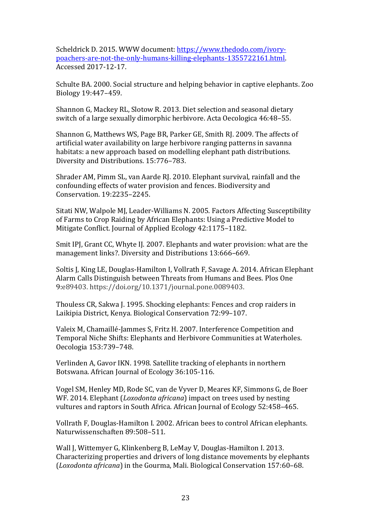Scheldrick D. 2015. WWW document: [https://www.thedodo.com/ivory](https://www.thedodo.com/ivory-poachers-are-not-the-only-humans-killing-elephants-1355722161.html)[poachers-are-not-the-only-humans-killing-elephants-1355722161.html.](https://www.thedodo.com/ivory-poachers-are-not-the-only-humans-killing-elephants-1355722161.html)  Accessed 2017-12-17.

Schulte BA. 2000. Social structure and helping behavior in captive elephants. Zoo Biology 19:447–459.

Shannon G, Mackey RL, Slotow R. 2013. Diet selection and seasonal dietary switch of a large sexually dimorphic herbivore. Acta Oecologica 46:48–55.

Shannon G, Matthews WS, Page BR, Parker GE, Smith RJ. 2009. The affects of artificial water availability on large herbivore ranging patterns in savanna habitats: a new approach based on modelling elephant path distributions. Diversity and Distributions. 15:776–783.

Shrader AM, Pimm SL, van Aarde RJ. 2010. Elephant survival, rainfall and the confounding effects of water provision and fences. Biodiversity and Conservation. 19:2235–2245.

Sitati NW, Walpole MJ, Leader-Williams N. 2005. Factors Affecting Susceptibility of Farms to Crop Raiding by African Elephants: Using a Predictive Model to Mitigate Conflict. Journal of Applied Ecology 42:1175–1182.

Smit IPJ, Grant CC, Whyte IJ. 2007. Elephants and water provision: what are the management links?. Diversity and Distributions 13:666–669.

Soltis J, King LE, Douglas-Hamilton I, Vollrath F, Savage A. 2014. African Elephant Alarm Calls Distinguish between Threats from Humans and Bees. Plos One 9:e89403. https://doi.org/10.1371/journal.pone.0089403.

Thouless CR, Sakwa J. 1995. Shocking elephants: Fences and crop raiders in Laikipia District, Kenya. Biological Conservation 72:99–107.

Valeix M, Chamaillé-Jammes S, Fritz H. 2007. Interference Competition and Temporal Niche Shifts: Elephants and Herbivore Communities at Waterholes. Oecologia 153:739–748.

Verlinden A, Gavor IKN. 1998. Satellite tracking of elephants in northern Botswana. African Journal of Ecology 36:105-116.

Vogel SM, Henley MD, Rode SC, van de Vyver D, Meares KF, Simmons G, de Boer WF. 2014. Elephant (*Loxodonta africana*) impact on trees used by nesting vultures and raptors in South Africa. African Journal of Ecology 52:458–465.

Vollrath F, Douglas-Hamilton I. 2002. African bees to control African elephants. Naturwissenschaften 89:508–511.

Wall J, Wittemyer G, Klinkenberg B, LeMay V, Douglas-Hamilton I. 2013. Characterizing properties and drivers of long distance movements by elephants (*Loxodonta africana*) in the Gourma, Mali. Biological Conservation 157:60–68.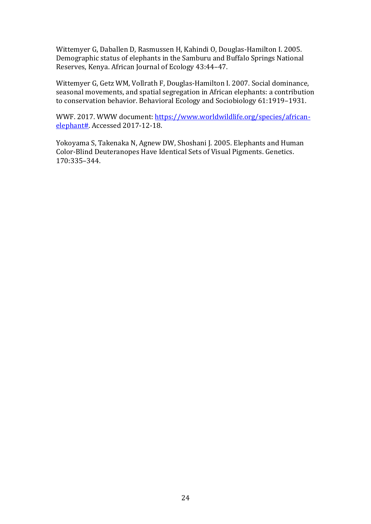Wittemyer G, Daballen D, Rasmussen H, Kahindi O, Douglas-Hamilton I. 2005. Demographic status of elephants in the Samburu and Buffalo Springs National Reserves, Kenya. African Journal of Ecology 43:44–47.

Wittemyer G, Getz WM, Vollrath F, Douglas-Hamilton I. 2007. Social dominance, seasonal movements, and spatial segregation in African elephants: a contribution to conservation behavior. Behavioral Ecology and Sociobiology 61:1919–1931.

WWF. 2017. WWW document: [https://www.worldwildlife.org/species/african](https://www.worldwildlife.org/species/african-elephant)[elephant#.](https://www.worldwildlife.org/species/african-elephant) Accessed 2017-12-18.

Yokoyama S, Takenaka N, Agnew DW, Shoshani J. 2005. Elephants and Human Color-Blind Deuteranopes Have Identical Sets of Visual Pigments. Genetics. 170:335–344.